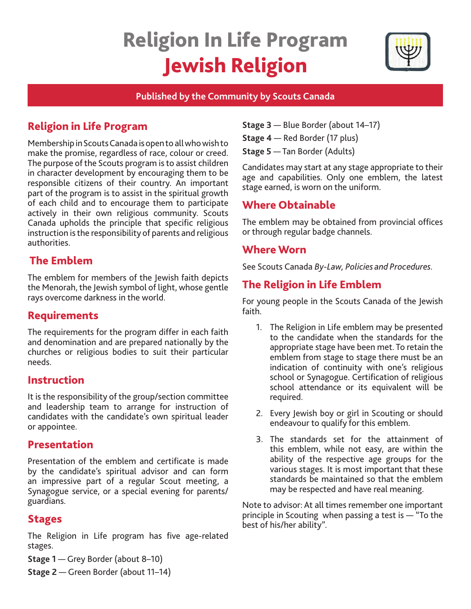# Religion In Life Program Jewish Religion



## **Published by the Community by Scouts Canada**

# Religion in Life Program

Membership in Scouts Canada is open to all who wish to make the promise, regardless of race, colour or creed. The purpose of the Scouts program is to assist children in character development by encouraging them to be responsible citizens of their country. An important part of the program is to assist in the spiritual growth of each child and to encourage them to participate actively in their own religious community. Scouts Canada upholds the principle that specific religious instruction is the responsibility of parents and religious authorities.

# The Emblem

The emblem for members of the Jewish faith depicts the Menorah, the Jewish symbol of light, whose gentle rays overcome darkness in the world.

## **Requirements**

The requirements for the program differ in each faith and denomination and are prepared nationally by the churches or religious bodies to suit their particular needs.

## Instruction

It is the responsibility of the group/section committee and leadership team to arrange for instruction of candidates with the candidate's own spiritual leader or appointee.

## Presentation

Presentation of the emblem and certificate is made by the candidate's spiritual advisor and can form an impressive part of a regular Scout meeting, a Synagogue service, or a special evening for parents/ guardians.

## Stages

The Religion in Life program has five age-related stages.

- **Stage 1** Grey Border (about 8–10)
- **Stage 2** Green Border (about 11–14)

| Stage 3 - Blue Border (about 14-17) |
|-------------------------------------|
| Stage 4 - Red Border (17 plus)      |

**Stage 5** — Tan Border (Adults)

Candidates may start at any stage appropriate to their age and capabilities. Only one emblem, the latest stage earned, is worn on the uniform.

# Where Obtainable

The emblem may be obtained from provincial offices or through regular badge channels.

# Where Worn

See Scouts Canada *By-Law, Policies and Procedures.* 

# The Religion in Life Emblem

For young people in the Scouts Canada of the Jewish faith.

- 1. The Religion in Life emblem may be presented to the candidate when the standards for the appropriate stage have been met. To retain the emblem from stage to stage there must be an indication of continuity with one's religious school or Synagogue. Certification of religious school attendance or its equivalent will be required.
- 2. Every Jewish boy or girl in Scouting or should endeavour to qualify for this emblem.
- 3. The standards set for the attainment of this emblem, while not easy, are within the ability of the respective age groups for the various stages. It is most important that these standards be maintained so that the emblem may be respected and have real meaning.

Note to advisor: At all times remember one important principle in Scouting when passing a test is — "To the best of his/her ability".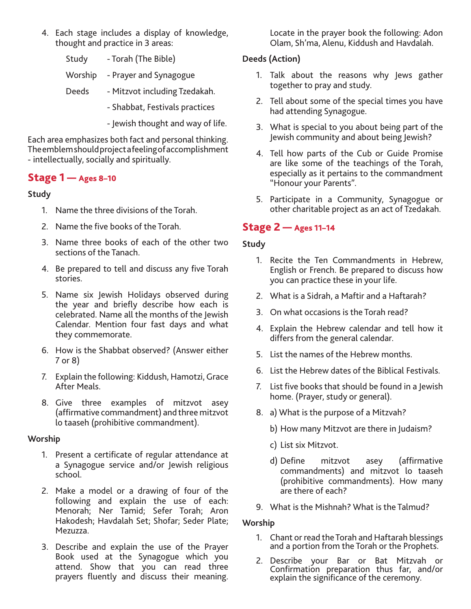- 4. Each stage includes a display of knowledge, thought and practice in 3 areas:
	- Study Torah (The Bible)
	- Worship Prayer and Synagogue
	- Deeds Mitzvot including Tzedakah.
		- Shabbat, Festivals practices
		- Jewish thought and way of life.

Each area emphasizes both fact and personal thinking. The emblem should project a feeling of accomplishment - intellectually, socially and spiritually.

## Stage 1 — Ages 8–10

#### **Study**

- 1. Name the three divisions of the Torah.
- 2. Name the five books of the Torah.
- 3. Name three books of each of the other two sections of the Tanach.
- 4. Be prepared to tell and discuss any five Torah stories.
- 5. Name six Jewish Holidays observed during the year and briefly describe how each is celebrated. Name all the months of the Jewish Calendar. Mention four fast days and what they commemorate.
- 6. How is the Shabbat observed? (Answer either 7 or 8)
- 7. Explain the following: Kiddush, Hamotzi, Grace After Meals.
- 8. Give three examples of mitzvot asey (affirmative commandment) and three mitzvot lo taaseh (prohibitive commandment).

#### **Worship**

- 1. Present a certificate of regular attendance at a Synagogue service and/or Jewish religious school.
- 2. Make a model or a drawing of four of the following and explain the use of each: Menorah; Ner Tamid; Sefer Torah; Aron Hakodesh; Havdalah Set; Shofar; Seder Plate; Mezuzza.
- 3. Describe and explain the use of the Prayer Book used at the Synagogue which you attend. Show that you can read three prayers fluently and discuss their meaning.

Locate in the prayer book the following: Adon Olam, Sh'ma, Alenu, Kiddush and Havdalah.

## **Deeds (Action)**

- 1. Talk about the reasons why Jews gather together to pray and study.
- 2. Tell about some of the special times you have had attending Synagogue.
- 3. What is special to you about being part of the Jewish community and about being Jewish?
- 4. Tell how parts of the Cub or Guide Promise are like some of the teachings of the Torah, especially as it pertains to the commandment "Honour your Parents".
- 5. Participate in a Community, Synagogue or other charitable project as an act of Tzedakah.

## Stage 2 — Ages 11–14

#### **Study**

- 1. Recite the Ten Commandments in Hebrew, English or French. Be prepared to discuss how you can practice these in your life.
- 2. What is a Sidrah, a Maftir and a Haftarah?
- 3. On what occasions is the Torah read?
- 4. Explain the Hebrew calendar and tell how it differs from the general calendar.
- 5. List the names of the Hebrew months.
- 6. List the Hebrew dates of the Biblical Festivals.
- 7. List five books that should be found in a Jewish home. (Prayer, study or general).
- 8. a) What is the purpose of a Mitzvah?
	- b) How many Mitzvot are there in Judaism?
	- c) List six Mitzvot.
	- d) Define mitzvot asey (affirmative commandments) and mitzvot lo taaseh (prohibitive commandments). How many are there of each?
- 9. What is the Mishnah? What is the Talmud?

#### **Worship**

- 1. Chant or read the Torah and Haftarah blessings and a portion from the Torah or the Prophets.
- 2. Describe your Bar or Bat Mitzvah or Confirmation preparation thus far, and/or explain the significance of the ceremony.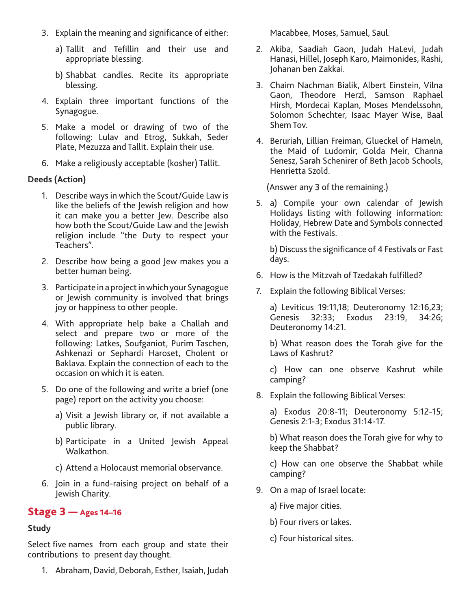- 3. Explain the meaning and significance of either:
	- a) Tallit and Tefillin and their use and appropriate blessing.
	- b) Shabbat candles. Recite its appropriate blessing.
- 4. Explain three important functions of the Synagogue.
- 5. Make a model or drawing of two of the following: Lulav and Etrog, Sukkah, Seder Plate, Mezuzza and Tallit. Explain their use.
- 6. Make a religiously acceptable (kosher) Tallit.

### **Deeds (Action)**

- 1. Describe ways in which the Scout/Guide Law is like the beliefs of the Jewish religion and how it can make you a better Jew. Describe also how both the Scout/Guide Law and the Jewish religion include "the Duty to respect your Teachers".
- 2. Describe how being a good Jew makes you a better human being.
- 3. Participate in a project in which your Synagogue or Jewish community is involved that brings joy or happiness to other people.
- 4. With appropriate help bake a Challah and select and prepare two or more of the following: Latkes, Soufganiot, Purim Taschen, Ashkenazi or Sephardi Haroset, Cholent or Baklava. Explain the connection of each to the occasion on which it is eaten.
- 5. Do one of the following and write a brief (one page) report on the activity you choose:
	- a) Visit a Jewish library or, if not available a public library.
	- b) Participate in a United Jewish Appeal Walkathon.
	- c) Attend a Holocaust memorial observance.
- 6. Join in a fund-raising project on behalf of a Jewish Charity.

## Stage 3 — Ages 14–16

# **Study**

Select five names from each group and state their contributions to present day thought.

1. Abraham, David, Deborah, Esther, Isaiah, Judah

Macabbee, Moses, Samuel, Saul.

- 2. Akiba, Saadiah Gaon, Judah HaLevi, Judah Hanasi, Hillel, Joseph Karo, Maimonides, Rashi, Johanan ben Zakkai.
- 3. Chaim Nachman Bialik, Albert Einstein, Vilna Gaon, Theodore Herzl, Samson Raphael Hirsh, Mordecai Kaplan, Moses Mendelssohn, Solomon Schechter, Isaac Mayer Wise, Baal Shem Tov.
- 4. Beruriah, Lillian Freiman, Glueckel of Hameln, the Maid of Ludomir, Golda Meir, Channa Senesz, Sarah Schenirer of Beth Jacob Schools, Henrietta Szold.

(Answer any 3 of the remaining.)

5. a) Compile your own calendar of Jewish Holidays listing with following information: Holiday, Hebrew Date and Symbols connected with the Festivals.

b) Discuss the significance of 4 Festivals or Fast days.

- 6. How is the Mitzvah of Tzedakah fulfilled?
- 7. Explain the following Biblical Verses:

a) Leviticus 19:11,18; Deuteronomy 12:16,23; Genesis 32:33; Exodus 23:19, 34:26; Deuteronomy 14:21.

b) What reason does the Torah give for the Laws of Kashrut?

c) How can one observe Kashrut while camping?

8. Explain the following Biblical Verses:

a) Exodus 20:8-11; Deuteronomy 5:12-15; Genesis 2:1-3; Exodus 31:14-17.

b) What reason does the Torah give for why to keep the Shabbat?

c) How can one observe the Shabbat while camping?

9. On a map of Israel locate:

a) Five major cities.

- b) Four rivers or lakes.
- c) Four historical sites.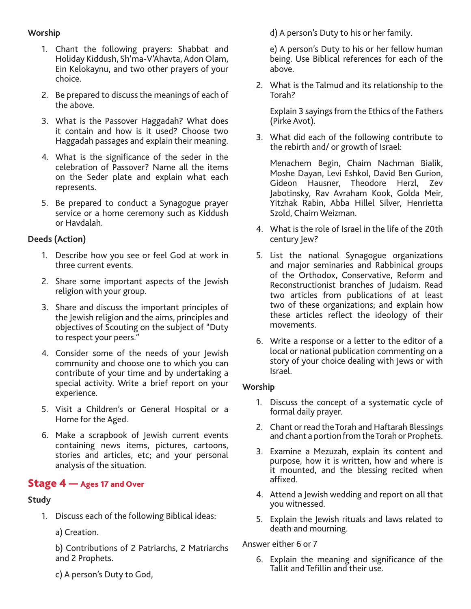#### **Worship**

- 1. Chant the following prayers: Shabbat and Holiday Kiddush, Sh'ma-V'Ahavta, Adon Olam, Ein Kelokaynu, and two other prayers of your choice.
- 2. Be prepared to discuss the meanings of each of the above.
- 3. What is the Passover Haggadah? What does it contain and how is it used? Choose two Haggadah passages and explain their meaning.
- 4. What is the significance of the seder in the celebration of Passover? Name all the items on the Seder plate and explain what each represents.
- 5. Be prepared to conduct a Synagogue prayer service or a home ceremony such as Kiddush or Havdalah.

## **Deeds (Action)**

- 1. Describe how you see or feel God at work in three current events.
- 2. Share some important aspects of the Jewish religion with your group.
- 3. Share and discuss the important principles of the Jewish religion and the aims, principles and objectives of Scouting on the subject of "Duty to respect your peers."
- 4. Consider some of the needs of your Jewish community and choose one to which you can contribute of your time and by undertaking a special activity. Write a brief report on your experience.
- 5. Visit a Children's or General Hospital or a Home for the Aged.
- 6. Make a scrapbook of Jewish current events containing news items, pictures, cartoons, stories and articles, etc; and your personal analysis of the situation.

## Stage 4 – Ages 17 and Over

#### **Study**

1. Discuss each of the following Biblical ideas:

a) Creation.

b) Contributions of 2 Patriarchs, 2 Matriarchs and 2 Prophets.

c) A person's Duty to God,

d) A person's Duty to his or her family.

e) A person's Duty to his or her fellow human being. Use Biblical references for each of the above.

2. What is the Talmud and its relationship to the Torah?

Explain 3 sayings from the Ethics of the Fathers (Pirke Avot).

3. What did each of the following contribute to the rebirth and/ or growth of Israel:

Menachem Begin, Chaim Nachman Bialik, Moshe Dayan, Levi Eshkol, David Ben Gurion, Gideon Hausner, Theodore Herzl, Zev Jabotinsky, Rav Avraham Kook, Golda Meir, Yitzhak Rabin, Abba Hillel Silver, Henrietta Szold, Chaim Weizman.

- 4. What is the role of Israel in the life of the 20th century Jew?
- 5. List the national Synagogue organizations and major seminaries and Rabbinical groups of the Orthodox, Conservative, Reform and Reconstructionist branches of Judaism. Read two articles from publications of at least two of these organizations; and explain how these articles reflect the ideology of their movements.
- 6. Write a response or a letter to the editor of a local or national publication commenting on a story of your choice dealing with Jews or with Israel.

#### **Worship**

- 1. Discuss the concept of a systematic cycle of formal daily prayer.
- 2. Chant or read the Torah and Haftarah Blessings and chant a portion from the Torah or Prophets.
- 3. Examine a Mezuzah, explain its content and purpose, how it is written, how and where is it mounted, and the blessing recited when affixed.
- 4. Attend a Jewish wedding and report on all that you witnessed.
- 5. Explain the Jewish rituals and laws related to death and mourning.

#### Answer either 6 or 7

6. Explain the meaning and significance of the Tallit and Tefillin and their use.